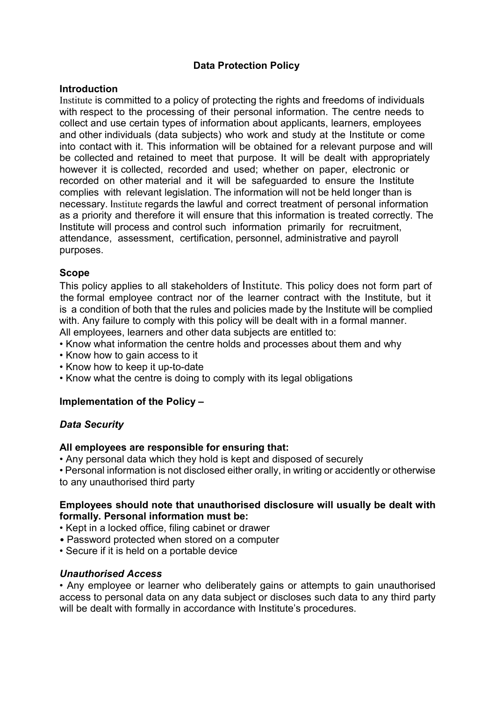# Data Protection Policy

### **Introduction**

Institute is committed to a policy of protecting the rights and freedoms of individuals with respect to the processing of their personal information. The centre needs to collect and use certain types of information about applicants, learners, employees and other individuals (data subjects) who work and study at the Institute or come into contact with it. This information will be obtained for a relevant purpose and will be collected and retained to meet that purpose. It will be dealt with appropriately however it is collected, recorded and used; whether on paper, electronic or recorded on other material and it will be safeguarded to ensure the Institute complies with relevant legislation. The information will not be held longer than is necessary. Institute regards the lawful and correct treatment of personal information as a priority and therefore it will ensure that this information is treated correctly. The Institute will process and control such information primarily for recruitment, attendance, assessment, certification, personnel, administrative and payroll purposes.

### Scope

This policy applies to all stakeholders of Institute. This policy does not form part of the formal employee contract nor of the learner contract with the Institute, but it is a condition of both that the rules and policies made by the Institute will be complied with. Any failure to comply with this policy will be dealt with in a formal manner. All employees, learners and other data subjects are entitled to:

- Know what information the centre holds and processes about them and why
- Know how to gain access to it
- Know how to keep it up-to-date
- Know what the centre is doing to comply with its legal obligations

### Implementation of the Policy –

### Data Security

#### All employees are responsible for ensuring that:

• Any personal data which they hold is kept and disposed of securely

• Personal information is not disclosed either orally, in writing or accidently or otherwise to any unauthorised third party

### Employees should note that unauthorised disclosure will usually be dealt with formally. Personal information must be:

- Kept in a locked office, filing cabinet or drawer
- Password protected when stored on a computer
- Secure if it is held on a portable device

#### Unauthorised Access

• Any employee or learner who deliberately gains or attempts to gain unauthorised access to personal data on any data subject or discloses such data to any third party will be dealt with formally in accordance with Institute's procedures.